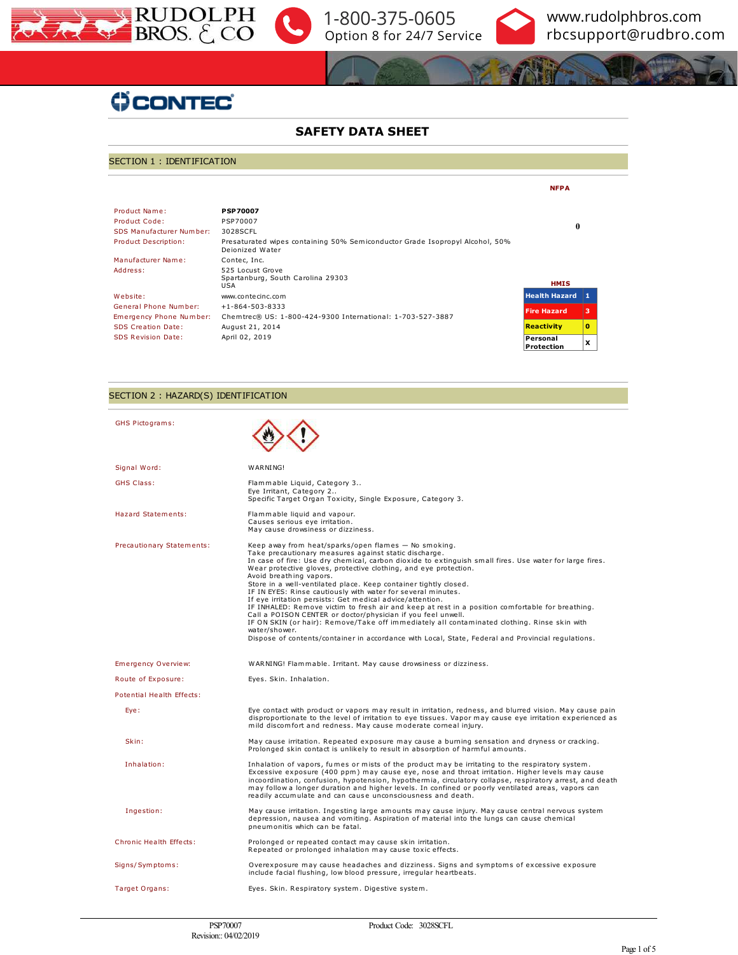





# **ÜCONTEC**

## **SAFETY DATA SHEET**

## SECTION 1 : IDENTIFICATION

|                           |                                                                                                 | <b>NFPA</b>            |          |
|---------------------------|-------------------------------------------------------------------------------------------------|------------------------|----------|
| Product Name:             | <b>PSP70007</b>                                                                                 |                        |          |
| Product Code:             | PSP70007                                                                                        |                        |          |
| SDS Manufacturer Number:  | 3028SCFL                                                                                        | 0                      |          |
| Product Description:      | Presaturated wipes containing 50% Semiconductor Grade Isopropyl Alcohol, 50%<br>Dejonized Water |                        |          |
| Manufacturer Name:        | Contec, Inc.                                                                                    |                        |          |
| Address:                  | 525 Locust Grove<br>Spartanburg, South Carolina 29303<br><b>USA</b>                             | <b>HMIS</b>            |          |
| Website:                  | www.contecinc.com                                                                               | <b>Health Hazard</b>   | 11.      |
| General Phone Number:     | $+1 - 864 - 503 - 8333$                                                                         | <b>Fire Hazard</b>     | з        |
| Emergency Phone Number:   | Chemtrec® US: 1-800-424-9300 International: 1-703-527-3887                                      |                        |          |
| <b>SDS Creation Date:</b> | August 21, 2014                                                                                 | <b>Reactivity</b>      | $\Omega$ |
| <b>SDS Revision Date:</b> | April 02, 2019                                                                                  | Personal<br>Protection | x        |

## SECTION 2 : HAZARD(S) IDENTIFICATION

| GHS Pictograms:                |                                                                                                                                                                                                                                                                                                                                                                                                                                                                                                                                                                                                                                                                                                                                                                                                                                                                                                                     |
|--------------------------------|---------------------------------------------------------------------------------------------------------------------------------------------------------------------------------------------------------------------------------------------------------------------------------------------------------------------------------------------------------------------------------------------------------------------------------------------------------------------------------------------------------------------------------------------------------------------------------------------------------------------------------------------------------------------------------------------------------------------------------------------------------------------------------------------------------------------------------------------------------------------------------------------------------------------|
| Signal Word:                   | WARNING!                                                                                                                                                                                                                                                                                                                                                                                                                                                                                                                                                                                                                                                                                                                                                                                                                                                                                                            |
| <b>GHS Class:</b>              | Flammable Liquid, Category 3<br>Eye Irritant, Category 2<br>Specific Target Organ Toxicity, Single Exposure, Category 3.                                                                                                                                                                                                                                                                                                                                                                                                                                                                                                                                                                                                                                                                                                                                                                                            |
| <b>Hazard Statements:</b>      | Flammable liquid and vapour.<br>Causes serious eye irritation.<br>May cause drowsiness or dizziness.                                                                                                                                                                                                                                                                                                                                                                                                                                                                                                                                                                                                                                                                                                                                                                                                                |
| Precautionary Statements:      | Keep away from heat/sparks/open flames - No smoking.<br>Take precautionary measures against static discharge.<br>In case of fire: Use dry chemical, carbon dioxide to extinguish small fires. Use water for large fires.<br>Wear protective gloves, protective clothing, and eye protection.<br>Avoid breathing vapors.<br>Store in a well-ventilated place. Keep container tightly closed.<br>IF IN EYES: Rinse cautiously with water for several minutes.<br>If eye irritation persists: Get medical advice/attention.<br>IF INHALED: Remove victim to fresh air and keep at rest in a position comfortable for breathing.<br>Call a POISON CENTER or doctor/physician if you feel unwell.<br>IF ON SKIN (or hair): Remove/Take off immediately all contaminated clothing. Rinse skin with<br>water/shower.<br>Dispose of contents/container in accordance with Local, State, Federal and Provincial regulations. |
| Emergency Overview:            | WARNING! Flammable. Irritant. May cause drowsiness or dizziness.                                                                                                                                                                                                                                                                                                                                                                                                                                                                                                                                                                                                                                                                                                                                                                                                                                                    |
| Route of Exposure:             | Eyes. Skin. Inhalation.                                                                                                                                                                                                                                                                                                                                                                                                                                                                                                                                                                                                                                                                                                                                                                                                                                                                                             |
| Potential Health Effects:      |                                                                                                                                                                                                                                                                                                                                                                                                                                                                                                                                                                                                                                                                                                                                                                                                                                                                                                                     |
| Eye:                           | Eye contact with product or vapors may result in irritation, redness, and blurred vision. May cause pain<br>disproportionate to the level of irritation to eye tissues. Vapor may cause eye irritation experienced as<br>mild discomfort and redness. May cause moderate corneal injury.                                                                                                                                                                                                                                                                                                                                                                                                                                                                                                                                                                                                                            |
| Skin:                          | May cause irritation. Repeated exposure may cause a burning sensation and dryness or cracking.<br>Prolonged skin contact is unlikely to result in absorption of harmful amounts.                                                                                                                                                                                                                                                                                                                                                                                                                                                                                                                                                                                                                                                                                                                                    |
| Inhalation:                    | Inhalation of vapors, fumes or mists of the product may be irritating to the respiratory system.<br>Excessive exposure (400 ppm) may cause eye, nose and throat irritation. Higher levels may cause<br>incoordination, confusion, hypotension, hypothermia, circulatory collapse, respiratory arrest, and death<br>may follow a longer duration and higher levels. In confined or poorly ventilated areas, vapors can<br>readily accumulate and can cause unconsciousness and death.                                                                                                                                                                                                                                                                                                                                                                                                                                |
| Ingestion:                     | May cause irritation. Ingesting large amounts may cause injury. May cause central nervous system<br>depression, nausea and vomiting. Aspiration of material into the lungs can cause chemical<br>pneumonitis which can be fatal.                                                                                                                                                                                                                                                                                                                                                                                                                                                                                                                                                                                                                                                                                    |
| <b>Chronic Health Effects:</b> | Prolonged or repeated contact may cause skin irritation.<br>Repeated or prolonged inhalation may cause toxic effects.                                                                                                                                                                                                                                                                                                                                                                                                                                                                                                                                                                                                                                                                                                                                                                                               |
| Signs/Symptoms:                | Overexposure may cause headaches and dizziness. Signs and symptoms of excessive exposure<br>include facial flushing, low blood pressure, irregular heartbeats.                                                                                                                                                                                                                                                                                                                                                                                                                                                                                                                                                                                                                                                                                                                                                      |
| Target Organs:                 | Eyes. Skin. Respiratory system. Digestive system.                                                                                                                                                                                                                                                                                                                                                                                                                                                                                                                                                                                                                                                                                                                                                                                                                                                                   |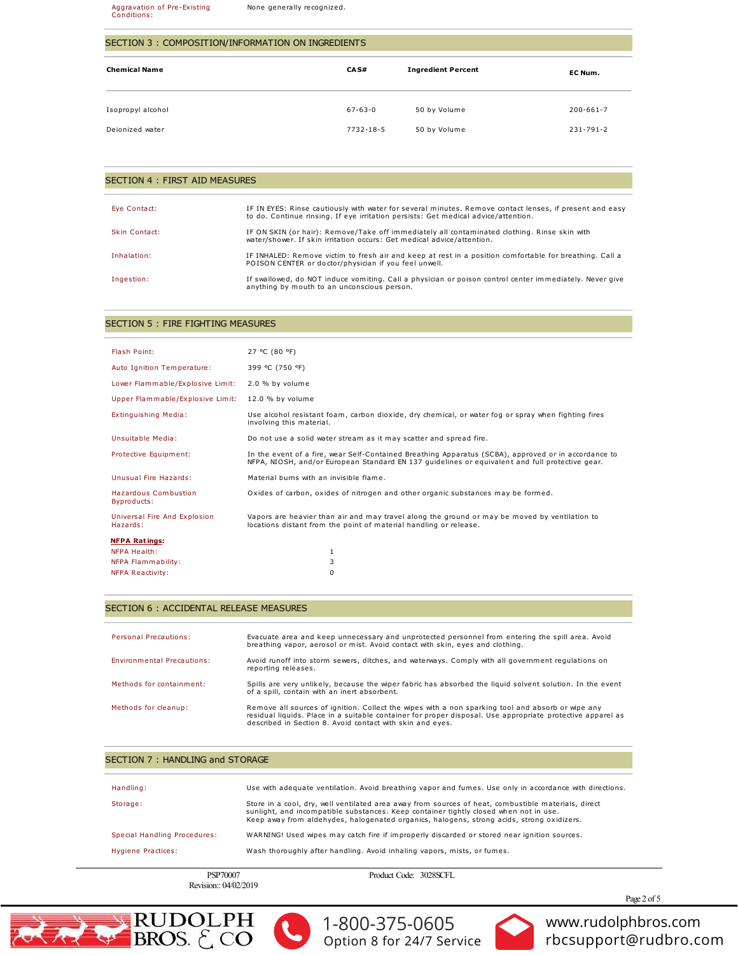#### Aggravation of Pre-Existing<br>Conditions: None generally recognized.

## SECTION 3 : COMPOSITION/INFORMATION ON INGREDIENTS

| <b>Chemical Name</b> | CAS#          | <b>Ingredient Percent</b> | EC Num.         |
|----------------------|---------------|---------------------------|-----------------|
| Isopropyl alcohol    | $67 - 63 - 0$ | 50 by Volume              | $200 - 661 - 7$ |
| Deionized water      | 7732-18-5     | 50 by Volume              | $231 - 791 - 2$ |

## SECTION 4 : FIRST AID MEASURES

| Eve Contact:  | IF IN EYES: Rinse cautiously with water for several minutes. Remove contact lenses, if present and easy<br>to do. Continue rinsing. If eye irritation persists: Get medical advice/attention. |
|---------------|-----------------------------------------------------------------------------------------------------------------------------------------------------------------------------------------------|
| Skin Contact: | IF ON SKIN (or hair): Remove/Take off immediately all contaminated clothing. Rinse skin with<br>water/shower. If skin irritation occurs: Get medical advice/attention.                        |
| Inhalation:   | IF INHALED: Remove victim to fresh air and keep at rest in a position comfortable for breathing. Call a<br>POISON CENTER or doctor/physician if you feel unwell.                              |
| Ingestion:    | If swallowed, do NOT induce vomiting. Call a physician or poison control center immediately. Never give<br>anything by mouth to an unconscious person.                                        |

## SECTION 5 : FIRE FIGHTING MEASURES

| Flash Point:                               | 27 °C (80 °F)                                                                                                                                                                                           |
|--------------------------------------------|---------------------------------------------------------------------------------------------------------------------------------------------------------------------------------------------------------|
| Auto Ignition Temperature:                 | 399 °C (750 °F)                                                                                                                                                                                         |
| Lower Flammable/Explosive Limit:           | 2.0 % by volume                                                                                                                                                                                         |
| Upper Flammable/Explosive Limit:           | 12.0 % by volume                                                                                                                                                                                        |
| <b>Extinguishing Media:</b>                | Use alcohol resistant foam, carbon dioxide, dry chemical, or water fog or spray when fighting fires<br>involving this material.                                                                         |
| Unsuitable Media:                          | Do not use a solid water stream as it may scatter and spread fire.                                                                                                                                      |
| Protective Equipment:                      | In the event of a fire, wear Self-Contained Breathing Apparatus (SCBA), approved or in accordance to<br>NFPA, NIOSH, and/or European Standard EN 137 quidelines or equivalent and full protective gear. |
| Unusual Fire Hazards:                      | Material burns with an invisible flame.                                                                                                                                                                 |
| <b>Hazardous Combustion</b><br>Byproducts: | Oxides of carbon, oxides of nitrogen and other organic substances may be formed.                                                                                                                        |
| Universal Fire And Explosion<br>Hazards:   | Vapors are heavier than air and may travel along the ground or may be moved by ventilation to<br>locations distant from the point of material handling or release.                                      |
| <b>NFPA Ratings:</b>                       |                                                                                                                                                                                                         |
| NFPA Health:                               | 1                                                                                                                                                                                                       |
| <b>NFPA Flammability:</b>                  | 3                                                                                                                                                                                                       |
| <b>NFPA Reactivity:</b>                    | $\Omega$                                                                                                                                                                                                |
|                                            |                                                                                                                                                                                                         |

## SECTION 6 : ACCIDENTAL RELEASE MEASURES

| <b>Personal Precautions:</b>      | Evacuate area and keep unnecessary and unprotected personnel from entering the spill area. Avoid<br>breathing vapor, aerosol or mist. Avoid contact with skin, eves and clothing.                                                                                            |
|-----------------------------------|------------------------------------------------------------------------------------------------------------------------------------------------------------------------------------------------------------------------------------------------------------------------------|
| <b>Environmental Precautions:</b> | Avoid runoff into storm sewers, ditches, and waterways. Comply with all government regulations on<br>reporting releases.                                                                                                                                                     |
| Methods for containment:          | Spills are very unlikely, because the wiper fabric has absorbed the liquid solvent solution. In the event<br>of a spill, contain with an inert absorbent.                                                                                                                    |
| Methods for cleanup:              | Remove all sources of ignition. Collect the wipes with a non sparking tool and absorb or wipe any<br>residual liquids. Place in a suitable container for proper disposal. Use appropriate protective apparel as<br>described in Section 8. Avoid contact with skin and eyes. |

## SECTION 7: HANDLING and STORAGE

| Handling:                    | Use with adequate ventilation. Avoid breathing vapor and fumes. Use only in accordance with directions.                                                                                                                                                                                   |  |
|------------------------------|-------------------------------------------------------------------------------------------------------------------------------------------------------------------------------------------------------------------------------------------------------------------------------------------|--|
| Storage:                     | Store in a cool, dry, well ventilated area away from sources of heat, combustible materials, direct<br>sunlight, and incompatible substances. Keep container tightly closed when not in use.<br>Keep away from aldehydes, halogenated organics, halogens, strong acids, strong oxidizers. |  |
| Special Handling Procedures: | WARNING! Used wipes may catch fire if improperly discarded or stored near ignition sources.                                                                                                                                                                                               |  |
| Hygiene Practices:           | Wash thoroughly after handling. Avoid inhaling vapors, mists, or fumes.                                                                                                                                                                                                                   |  |
| PSP70007                     | Product Code: 3028SCFL                                                                                                                                                                                                                                                                    |  |

Revision:: 04/02/2019

Product Code: 3028SCFL

Page 2 of 5







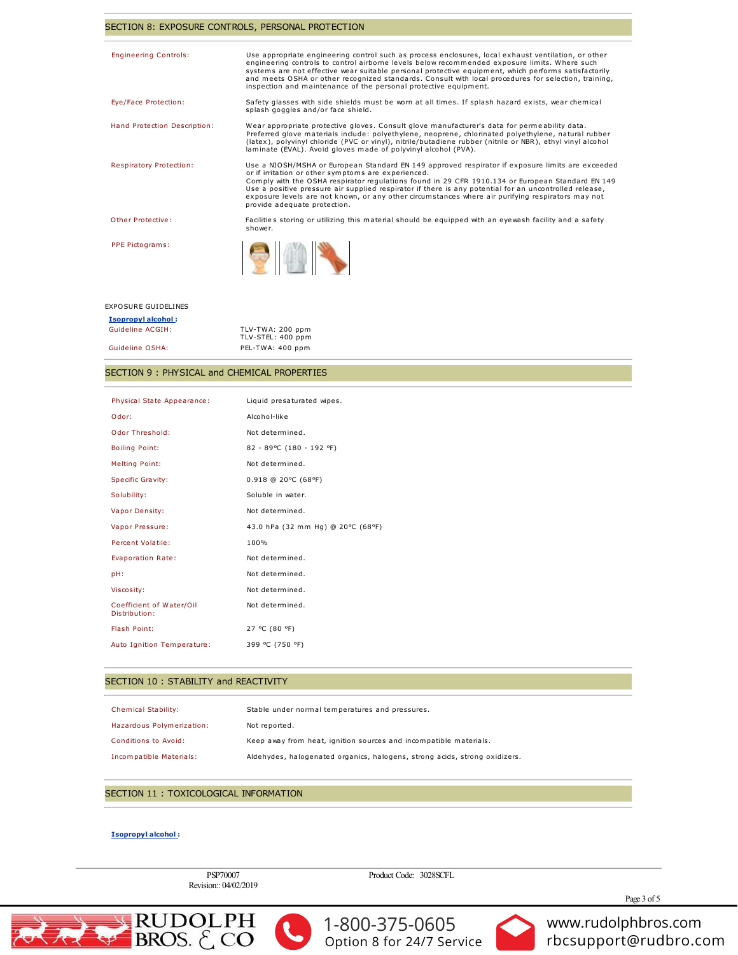## SECTION 8: EXPOSURE CONTROLS, PERSONAL PROTECTION

| Use appropriate engineering control such as process enclosures, local exhaust ventilation, or other<br>engineering controls to control airborne levels below recommended exposure limits. Where such<br>systems are not effective wear suitable personal protective equipment, which performs satisfactorily<br>and meets OSHA or other recognized standards. Consult with local procedures for selection, training,<br>inspection and maintenance of the personal protective equipment.                   |
|------------------------------------------------------------------------------------------------------------------------------------------------------------------------------------------------------------------------------------------------------------------------------------------------------------------------------------------------------------------------------------------------------------------------------------------------------------------------------------------------------------|
| Safety glasses with side shields must be worn at all times. If splash hazard exists, wear chemical<br>splash goggles and/or face shield.                                                                                                                                                                                                                                                                                                                                                                   |
| Wear appropriate protective gloves. Consult glove manufacturer's data for permeability data.<br>Preferred glove materials include: polyethylene, neoprene, chlorinated polyethylene, natural rubber<br>(latex), polyvinyl chloride (PVC or vinyl), nitrile/butadiene rubber (nitrile or NBR), ethyl vinyl alcohol<br>laminate (EVAL). Avoid gloves made of polyvinyl alcohol (PVA).                                                                                                                        |
| Use a NIOSH/MSHA or European Standard EN 149 approved respirator if exposure limits are exceeded<br>or if irritation or other symptoms are experienced.<br>Comply with the OSHA respirator regulations found in 29 CFR 1910.134 or European Standard EN 149<br>Use a positive pressure air supplied respirator if there is any potential for an uncontrolled release,<br>exposure levels are not known, or any other circumstances where air purifying respirators may not<br>provide adequate protection. |
| Facilities storing or utilizing this material should be equipped with an eyewash facility and a safety<br>shower.                                                                                                                                                                                                                                                                                                                                                                                          |
|                                                                                                                                                                                                                                                                                                                                                                                                                                                                                                            |
|                                                                                                                                                                                                                                                                                                                                                                                                                                                                                                            |

| <b>EXPOSURE GUIDELINES</b> |                                       |
|----------------------------|---------------------------------------|
| <b>Isopropyl alcohol:</b>  |                                       |
| Guideline ACGIH:           | TLV-TWA: 200 ppm<br>TLV-STEL: 400 ppm |
| Guideline OSHA:            | PEL-TWA: 400 ppm                      |

## SECTION 9: PHYSICAL and CHEMICAL PROPERTIES

| Physical State Appearance:                | Liquid presaturated wipes.        |
|-------------------------------------------|-----------------------------------|
| Odor:                                     | Alcohol-like                      |
| Odor Threshold:                           | Not determined.                   |
| <b>Boiling Point:</b>                     | 82 - 89°C (180 - 192 °F)          |
| <b>Melting Point:</b>                     | Not determined.                   |
| <b>Specific Gravity:</b>                  | $0.918$ @ 20°C (68°F)             |
| Solubility:                               | Soluble in water.                 |
| <b>Vapor Density:</b>                     | Not determined.                   |
| Vapor Pressure:                           | 43.0 hPa (32 mm Hg) @ 20°C (68°F) |
| Percent Volatile:                         | 100%                              |
| <b>Evaporation Rate:</b>                  | Not determined.                   |
| pH:                                       | Not determined.                   |
| Viscosity:                                | Not determined.                   |
| Coefficient of Water/Oil<br>Distribution: | Not determined.                   |
| Flash Point:                              | 27 °C (80 °F)                     |
| Auto Ignition Temperature:                | 399 °C (750 °F)                   |

#### SECTION 10 : STABILITY and REACTIVITY

| Chemical Stability:         | Stable under normal temperatures and pressures.                            |
|-----------------------------|----------------------------------------------------------------------------|
| Hazardous Polymerization:   | Not reported.                                                              |
| <b>Conditions to Avoid:</b> | Keep away from heat, ignition sources and incompatible materials.          |
| Incompatible Materials:     | Aldehydes, halogenated organics, halogens, strong acids, strong oxidizers. |

## SECTION 11 : TOXICOLOGICAL INFORMATION

## **Isopropyl alcohol:**

PSP70007 Revision:: 04/02/2019 Product Code: 3028SCFL

Page 3 of 5







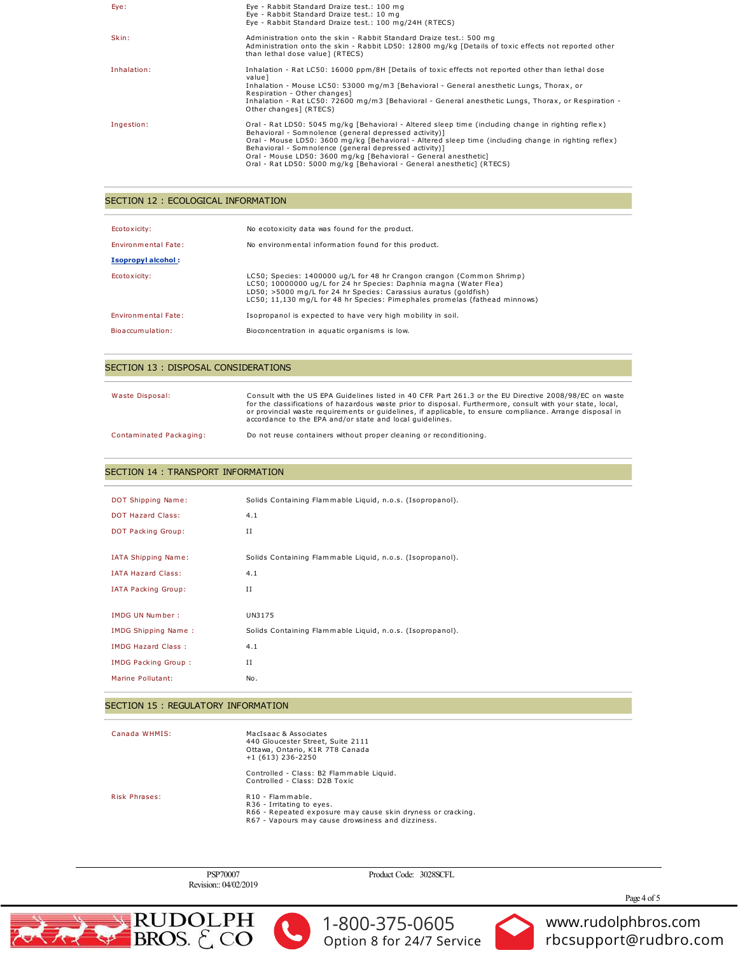| Eye:        | Eye - Rabbit Standard Draize test.: 100 mg<br>Eye - Rabbit Standard Draize test.: 10 mg<br>Eye - Rabbit Standard Draize test.: 100 mg/24H (RTECS)                                                                                                                                                                                                                                                                                                                        |
|-------------|--------------------------------------------------------------------------------------------------------------------------------------------------------------------------------------------------------------------------------------------------------------------------------------------------------------------------------------------------------------------------------------------------------------------------------------------------------------------------|
| Skin:       | Administration onto the skin - Rabbit Standard Draize test.: 500 mg<br>Administration onto the skin - Rabbit LD50: 12800 mg/kg [Details of toxic effects not reported other<br>than lethal dose value] (RTECS)                                                                                                                                                                                                                                                           |
| Inhalation: | Inhalation - Rat LC50: 16000 ppm/8H [Details of toxic effects not reported other than lethal dose<br>value]<br>Inhalation - Mouse LC50: 53000 mg/m3 [Behavioral - General anesthetic Lungs, Thorax, or<br>Respiration - Other changes]<br>Inhalation - Rat LC50: 72600 mg/m3 [Behavioral - General anesthetic Lungs, Thorax, or Respiration -<br>Other changes] (RTECS)                                                                                                  |
| Ingestion:  | Oral - Rat LD50: 5045 mg/kg [Behavioral - Altered sleep time (including change in righting reflex)<br>Behavioral - Somnolence (general depressed activity)]<br>Oral - Mouse LD50: 3600 mg/kg [Behavioral - Altered sleep time (including change in righting reflex)<br>Behavioral - Somnolence (general depressed activity)]<br>Oral - Mouse LD50: 3600 mg/kg [Behavioral - General anesthetic]<br>Oral - Rat LD50: 5000 mg/kg [Behavioral - General anesthetic] (RTECS) |

## SECTION 12 : ECOLOGICAL INFORMATION

| Ecotoxicity:<br><b>Environmental Fate:</b><br>Isopropyl alcohol: | No ecotoxicity data was found for the product.<br>No environmental information found for this product.                                                                                                                                                                                       |
|------------------------------------------------------------------|----------------------------------------------------------------------------------------------------------------------------------------------------------------------------------------------------------------------------------------------------------------------------------------------|
| Ecotoxicity:                                                     | LC50; Species: 1400000 ug/L for 48 hr Crangon crangon (Common Shrimp)<br>LC50; 10000000 ug/L for 24 hr Species: Daphnia magna (Water Flea)<br>LD50; >5000 mg/L for 24 hr Species: Carassius auratus (goldfish)<br>LC50: 11.130 mg/L for 48 hr Species: Pimephales promelas (fathead minnows) |
| <b>Environmental Fate:</b>                                       | Isopropanol is expected to have very high mobility in soil.                                                                                                                                                                                                                                  |
| Bioaccumulation:                                                 | Bioconcentration in aquatic organisms is low.                                                                                                                                                                                                                                                |

## SECTION 13 : DISPOSAL CONSIDERATIONS

| Waste Disposal:         | Consult with the US EPA Guidelines listed in 40 CFR Part 261.3 or the EU Directive 2008/98/EC on waste<br>for the classifications of hazardous waste prior to disposal. Furthermore, consult with your state, local,<br>or provincial waste requirements or quidelines, if applicable, to ensure compliance. Arrange disposal in<br>accordance to the EPA and/or state and local quidelines. |
|-------------------------|----------------------------------------------------------------------------------------------------------------------------------------------------------------------------------------------------------------------------------------------------------------------------------------------------------------------------------------------------------------------------------------------|
| Contaminated Packaging: | Do not reuse containers without proper cleaning or reconditioning.                                                                                                                                                                                                                                                                                                                           |

## SECTION 14 : TRANSPORT INFORMATION

| DOT Shipping Name:         | Solids Containing Flammable Liquid, n.o.s. (Isopropanol). |
|----------------------------|-----------------------------------------------------------|
| <b>DOT Hazard Class:</b>   | 4.1                                                       |
| DOT Packing Group:         | Н                                                         |
|                            |                                                           |
| <b>IATA Shipping Name:</b> | Solids Containing Flammable Liquid, n.o.s. (Isopropanol). |
| <b>IATA Hazard Class:</b>  | 4.1                                                       |
| <b>IATA Packing Group:</b> | II                                                        |
|                            |                                                           |
| <b>IMDG UN Number:</b>     | UN3175                                                    |
| <b>IMDG Shipping Name:</b> | Solids Containing Flammable Liquid, n.o.s. (Isopropanol). |
| <b>IMDG Hazard Class:</b>  | 4.1                                                       |
| <b>IMDG Packing Group:</b> | $_{II}$                                                   |
| Marine Pollutant:          | No.                                                       |

## SECTION 15 : REGULATORY INFORMATION

Canada WHMIS:

MacIsaac & Associates<br>440 Gloucester Street, Suite 2111<br>Ottawa, Ontario, K1R 7T8 Canada<br>+1 (613) 236-2250

Controlled - Class: B2 Flammable Liquid.<br>Controlled - Class: D2B Toxic

Risk Phrases:

R10 - Flammable.<br>R36 - Irritating to eyes.<br>R66 - Repeated exposure may cause skin dryness or cracking.<br>R67 - Vapours may cause drowsiness and dizziness.

PSP70007 Revision:: 04/02/2019 Product Code: 3028SCFL

Page 4 of 5